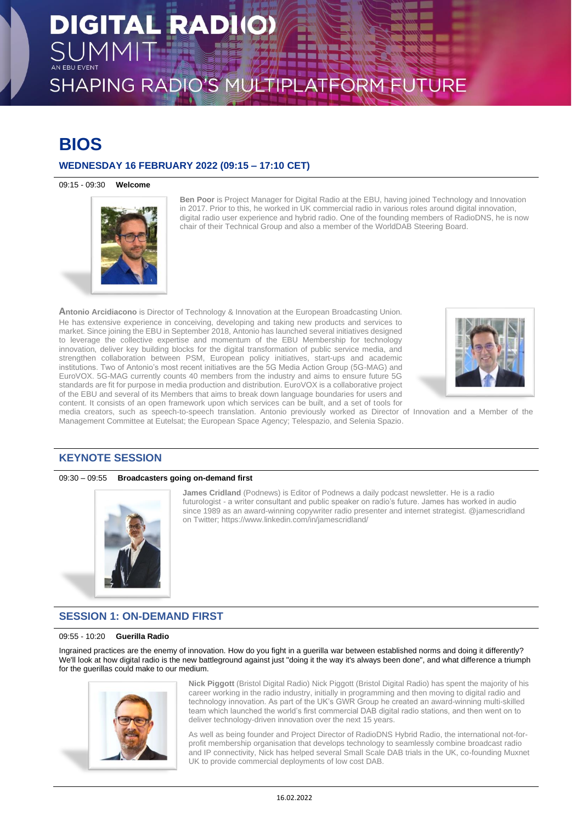## **BIOS**

## **WEDNESDAY 16 FEBRUARY 2022 (09:15 – 17:10 CET)**

09:15 - 09:30 **Welcome**



**Ben Poor** is Project Manager for Digital Radio at the EBU, having joined Technology and Innovation in 2017. Prior to this, he worked in UK commercial radio in various roles around digital innovation, digital radio user experience and hybrid radio. One of the founding members of RadioDNS, he is now chair of their Technical Group and also a member of the WorldDAB Steering Board.

**Antonio Arcidiacono** is Director of Technology & Innovation at the European Broadcasting Union. He has extensive experience in conceiving, developing and taking new products and services to market. Since joining the EBU in September 2018, Antonio has launched several initiatives designed to leverage the collective expertise and momentum of the EBU Membership for technology innovation, deliver key building blocks for the digital transformation of public service media, and strengthen collaboration between PSM, European policy initiatives, start-ups and academic institutions. Two of Antonio's most recent initiatives are the 5G Media Action Group (5G-MAG) and EuroVOX. 5G-MAG currently counts 40 members from the industry and aims to ensure future 5G standards are fit for purpose in media production and distribution. EuroVOX is a collaborative project of the EBU and several of its Members that aims to break down language boundaries for users and content. It consists of an open framework upon which services can be built, and a set of tools for



media creators, such as speech-to-speech translation. Antonio previously worked as Director of Innovation and a Member of the Management Committee at Eutelsat; the European Space Agency; Telespazio, and Selenia Spazio.

## **KEYNOTE SESSION**

## 09:30 – 09:55 **Broadcasters going on-demand first**



**James Cridland** (Podnews) is Editor of Podnews a daily podcast newsletter. He is a radio futurologist - a writer consultant and public speaker on radio's future. James has worked in audio since 1989 as an award-winning copywriter radio presenter and internet strategist. @jamescridland on Twitter; https://www.linkedin.com/in/jamescridland/

## **SESSION 1: ON-DEMAND FIRST**

### 09:55 - 10:20 **Guerilla Radio**

Ingrained practices are the enemy of innovation. How do you fight in a guerilla war between established norms and doing it differently? We'll look at how digital radio is the new battleground against just "doing it the way it's always been done", and what difference a triumph for the guerillas could make to our medium.



**Nick Piggott** (Bristol Digital Radio) Nick Piggott (Bristol Digital Radio) has spent the majority of his career working in the radio industry, initially in programming and then moving to digital radio and technology innovation. As part of the UK's GWR Group he created an award-winning multi-skilled team which launched the world's first commercial DAB digital radio stations, and then went on to deliver technology-driven innovation over the next 15 years.

As well as being founder and Project Director of RadioDNS Hybrid Radio, the international not-forprofit membership organisation that develops technology to seamlessly combine broadcast radio and IP connectivity, Nick has helped several Small Scale DAB trials in the UK, co-founding Muxnet UK to provide commercial deployments of low cost DAB.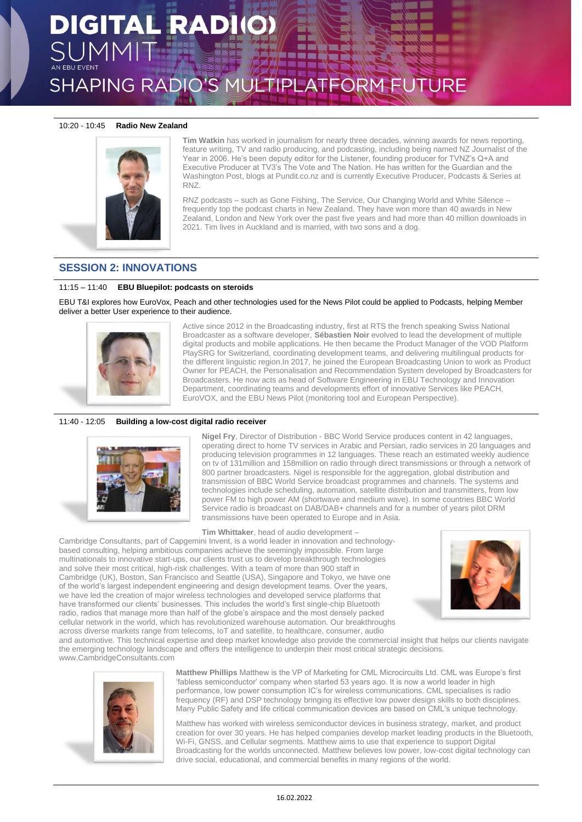## **DIGITAL RADIO** SHAPING RADIO'S MULTIPLATFORM FUTURE

## 10:20 - 10:45 **Radio New Zealand**



**Tim Watkin** has worked in journalism for nearly three decades, winning awards for news reporting, feature writing, TV and radio producing, and podcasting, including being named NZ Journalist of the Year in 2006. He's been deputy editor for the Listener, founding producer for TVNZ's Q+A and Executive Producer at TV3's The Vote and The Nation. He has written for the Guardian and the Washington Post, blogs at Pundit.co.nz and is currently Executive Producer, Podcasts & Series at RNZ.

RNZ podcasts – such as Gone Fishing, The Service, Our Changing World and White Silence – frequently top the podcast charts in New Zealand. They have won more than 40 awards in New Zealand, London and New York over the past five years and had more than 40 million downloads in 2021. Tim lives in Auckland and is married, with two sons and a dog.

## **SESSION 2: INNOVATIONS**

## 11:15 – 11:40 **EBU Bluepilot: podcasts on steroids**

EBU T&I explores how EuroVox, Peach and other technologies used for the News Pilot could be applied to Podcasts, helping Member deliver a better User experience to their audience.



Active since 2012 in the Broadcasting industry, first at RTS the french speaking Swiss National Broadcaster as a software developer, **Sébastien Noir** evolved to lead the development of multiple digital products and mobile applications. He then became the Product Manager of the VOD Platform PlaySRG for Switzerland, coordinating development teams, and delivering multilingual products for the different linguistic region.In 2017, he joined the European Broadcasting Union to work as Product Owner for PEACH, the Personalisation and Recommendation System developed by Broadcasters for Broadcasters. He now acts as head of Software Engineering in EBU Technology and Innovation Department, coordinating teams and developments effort of innovative Services like PEACH, EuroVOX, and the EBU News Pilot (monitoring tool and European Perspective).

## 11:40 - 12:05 **Building a low-cost digital radio receiver**



**Nigel Fry**, Director of Distribution - BBC World Service produces content in 42 languages, operating direct to home TV services in Arabic and Persian, radio services in 20 languages and producing television programmes in 12 languages. These reach an estimated weekly audience on tv of 131million and 158million on radio through direct transmissions or through a network of 800 partner broadcasters. Nigel is responsible for the aggregation, global distribution and transmission of BBC World Service broadcast programmes and channels. The systems and technologies include scheduling, automation, satellite distribution and transmitters, from low power FM to high power AM (shortwave and medium wave). In some countries BBC World Service radio is broadcast on DAB/DAB+ channels and for a number of years pilot DRM transmissions have been operated to Europe and in Asia.

## **Tim Whittaker**, head of audio development –

Cambridge Consultants, part of Capgemini Invent, is a world leader in innovation and technologybased consulting, helping ambitious companies achieve the seemingly impossible. From large multinationals to innovative start-ups, our clients trust us to develop breakthrough technologies and solve their most critical, high-risk challenges. With a team of more than 900 staff in Cambridge (UK), Boston, San Francisco and Seattle (USA), Singapore and Tokyo, we have one of the world's largest independent engineering and design development teams. Over the years, we have led the creation of major wireless technologies and developed service platforms that have transformed our clients' businesses. This includes the world's first single-chip Bluetooth radio, radios that manage more than half of the globe's airspace and the most densely packed cellular network in the world, which has revolutionized warehouse automation. Our breakthroughs across diverse markets range from telecoms, IoT and satellite, to healthcare, consumer, audio



and automotive. This technical expertise and deep market knowledge also provide the commercial insight that helps our clients navigate the emerging technology landscape and offers the intelligence to underpin their most critical strategic decisions. www.CambridgeConsultants.com



**Matthew Phillips** Matthew is the VP of Marketing for CML Microcircuits Ltd. CML was Europe's first 'fabless semiconductor' company when started 53 years ago. It is now a world leader in high performance, low power consumption IC's for wireless communications. CML specialises is radio frequency (RF) and DSP technology bringing its effective low power design skills to both disciplines. Many Public Safety and life critical communication devices are based on CML's unique technology.

Matthew has worked with wireless semiconductor devices in business strategy, market, and product creation for over 30 years. He has helped companies develop market leading products in the Bluetooth, Wi-Fi, GNSS, and Cellular segments. Matthew aims to use that experience to support Digital Broadcasting for the worlds unconnected. Matthew believes low power, low-cost digital technology can drive social, educational, and commercial benefits in many regions of the world.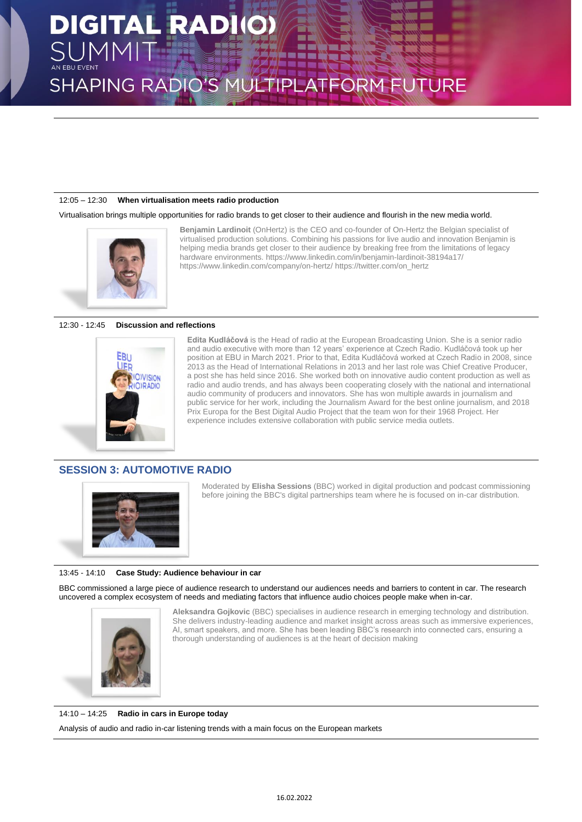### 12:05 – 12:30 **When virtualisation meets radio production**

Virtualisation brings multiple opportunities for radio brands to get closer to their audience and flourish in the new media world.



**Benjamin Lardinoit** (OnHertz) is the CEO and co-founder of On-Hertz the Belgian specialist of virtualised production solutions. Combining his passions for live audio and innovation Benjamin is helping media brands get closer to their audience by breaking free from the limitations of legacy hardware environments. https://www.linkedin.com/in/benjamin-lardinoit-38194a17/ https://www.linkedin.com/company/on-hertz/ https://twitter.com/on\_hertz

### 12:30 - 12:45 **Discussion and reflections**



**Edita Kudláčová** is the Head of radio at the European Broadcasting Union. She is a senior radio and audio executive with more than 12 years' experience at Czech Radio. Kudláčová took up her position at EBU in March 2021. Prior to that, Edita Kudláčová worked at Czech Radio in 2008, since 2013 as the Head of International Relations in 2013 and her last role was Chief Creative Producer, a post she has held since 2016. She worked both on innovative audio content production as well as radio and audio trends, and has always been cooperating closely with the national and international audio community of producers and innovators. She has won multiple awards in journalism and public service for her work, including the Journalism Award for the best online journalism, and 2018 Prix Europa for the Best Digital Audio Project that the team won for their 1968 Project. Her experience includes extensive collaboration with public service media outlets.

## **SESSION 3: AUTOMOTIVE RADIO**



Moderated by **Elisha Sessions** (BBC) worked in digital production and podcast commissioning before joining the BBC's digital partnerships team where he is focused on in-car distribution.

### 13:45 - 14:10 **Case Study: Audience behaviour in car**

BBC commissioned a large piece of audience research to understand our audiences needs and barriers to content in car. The research uncovered a complex ecosystem of needs and mediating factors that influence audio choices people make when in-car.



**Aleksandra Gojkovic** (BBC) specialises in audience research in emerging technology and distribution. She delivers industry-leading audience and market insight across areas such as immersive experiences, AI, smart speakers, and more. She has been leading BBC's research into connected cars, ensuring a thorough understanding of audiences is at the heart of decision making

### 14:10 – 14:25 **Radio in cars in Europe today**

Analysis of audio and radio in-car listening trends with a main focus on the European markets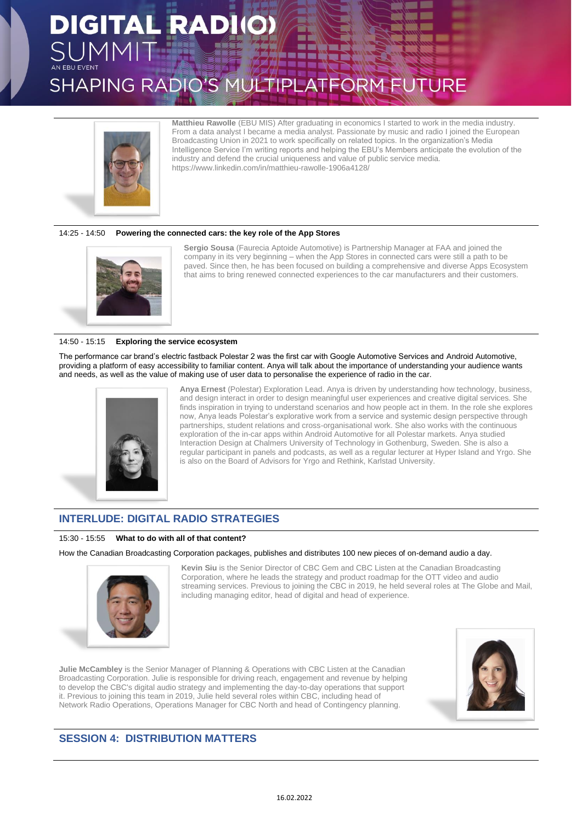# **DIGITAL RADIO** SHAPING RADIO'S MULTIPLATFORM FUTURE



**Matthieu Rawolle** (EBU MIS) After graduating in economics I started to work in the media industry. From a data analyst I became a media analyst. Passionate by music and radio I joined the European Broadcasting Union in 2021 to work specifically on related topics. In the organization's Media Intelligence Service I'm writing reports and helping the EBU's Members anticipate the evolution of the industry and defend the crucial uniqueness and value of public service media. https://www.linkedin.com/in/matthieu-rawolle-1906a4128/

### 14:25 - 14:50 **Powering the connected cars: the key role of the App Stores**



**Sergio Sousa** (Faurecia Aptoide Automotive) is Partnership Manager at FAA and joined the company in its very beginning – when the App Stores in connected cars were still a path to be paved. Since then, he has been focused on building a comprehensive and diverse Apps Ecosystem that aims to bring renewed connected experiences to the car manufacturers and their customers.

### 14:50 - 15:15 **Exploring the service ecosystem**

The performance car brand's electric fastback Polestar 2 was the first car with Google Automotive Services and Android Automotive, providing a platform of easy accessibility to familiar content. Anya will talk about the importance of understanding your audience wants and needs, as well as the value of making use of user data to personalise the experience of radio in the car.



**Anya Ernest** (Polestar) Exploration Lead. Anya is driven by understanding how technology, business, and design interact in order to design meaningful user experiences and creative digital services. She finds inspiration in trying to understand scenarios and how people act in them. In the role she explores now, Anya leads Polestar's explorative work from a service and systemic design perspective through partnerships, student relations and cross-organisational work. She also works with the continuous exploration of the in-car apps within Android Automotive for all Polestar markets. Anya studied Interaction Design at Chalmers University of Technology in Gothenburg, Sweden. She is also a regular participant in panels and podcasts, as well as a regular lecturer at Hyper Island and Yrgo. She is also on the Board of Advisors for Yrgo and Rethink, Karlstad University.

## **INTERLUDE: DIGITAL RADIO STRATEGIES**

### 15:30 - 15:55 **What to do with all of that content?**

How the Canadian Broadcasting Corporation packages, publishes and distributes 100 new pieces of on-demand audio a day.



**Kevin Siu** is the Senior Director of CBC Gem and CBC Listen at the Canadian Broadcasting Corporation, where he leads the strategy and product roadmap for the OTT video and audio streaming services. Previous to joining the CBC in 2019, he held several roles at The Globe and Mail, including managing editor, head of digital and head of experience.

**Julie McCambley** is the Senior Manager of Planning & Operations with CBC Listen at the Canadian Broadcasting Corporation. Julie is responsible for driving reach, engagement and revenue by helping to develop the CBC's digital audio strategy and implementing the day-to-day operations that support it. Previous to joining this team in 2019, Julie held several roles within CBC, including head of Network Radio Operations, Operations Manager for CBC North and head of Contingency planning.



## **SESSION 4: DISTRIBUTION MATTERS**